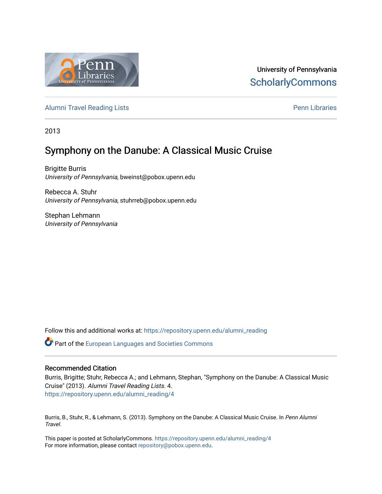

University of Pennsylvania **ScholarlyCommons** 

[Alumni Travel Reading Lists](https://repository.upenn.edu/alumni_reading) **Pennish Containers** [Penn Libraries](https://repository.upenn.edu/library) **Pennish Containers** 

2013

# Symphony on the Danube: A Classical Music Cruise

Brigitte Burris University of Pennsylvania, bweinst@pobox.upenn.edu

Rebecca A. Stuhr University of Pennsylvania, stuhrreb@pobox.upenn.edu

Stephan Lehmann University of Pennsylvania

Follow this and additional works at: [https://repository.upenn.edu/alumni\\_reading](https://repository.upenn.edu/alumni_reading?utm_source=repository.upenn.edu%2Falumni_reading%2F4&utm_medium=PDF&utm_campaign=PDFCoverPages)

**C** Part of the European Languages and Societies Commons

#### Recommended Citation

Burris, Brigitte; Stuhr, Rebecca A.; and Lehmann, Stephan, "Symphony on the Danube: A Classical Music Cruise" (2013). Alumni Travel Reading Lists. 4. [https://repository.upenn.edu/alumni\\_reading/4](https://repository.upenn.edu/alumni_reading/4?utm_source=repository.upenn.edu%2Falumni_reading%2F4&utm_medium=PDF&utm_campaign=PDFCoverPages)

Burris, B., Stuhr, R., & Lehmann, S. (2013). Symphony on the Danube: A Classical Music Cruise. In Penn Alumni Travel.

This paper is posted at ScholarlyCommons. [https://repository.upenn.edu/alumni\\_reading/4](https://repository.upenn.edu/alumni_reading/4)  For more information, please contact [repository@pobox.upenn.edu.](mailto:repository@pobox.upenn.edu)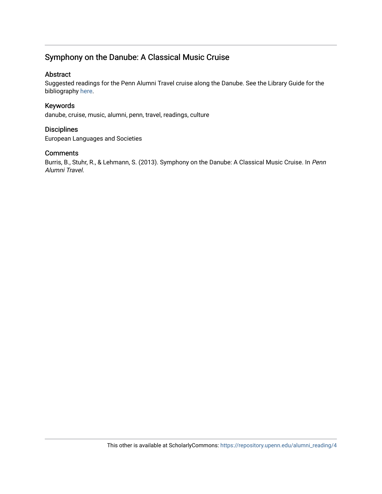# Symphony on the Danube: A Classical Music Cruise

#### Abstract

Suggested readings for the Penn Alumni Travel cruise along the Danube. See the Library Guide for the bibliography [here](http://guides.library.upenn.edu/aecontent.php?pid=507381&sid=4175588).

#### Keywords

danube, cruise, music, alumni, penn, travel, readings, culture

#### **Disciplines**

European Languages and Societies

#### Comments

Burris, B., Stuhr, R., & Lehmann, S. (2013). Symphony on the Danube: A Classical Music Cruise. In Penn Alumni Travel.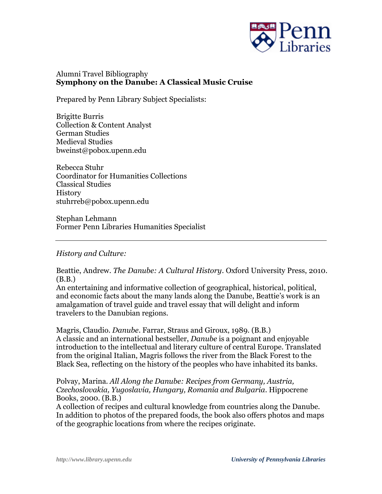

# Alumni Travel Bibliography **Symphony on the Danube: A Classical Music Cruise**

Prepared by Penn Library Subject Specialists:

Brigitte Burris Collection & Content Analyst German Studies Medieval Studies bweinst@pobox.upenn.edu

Rebecca Stuhr Coordinator for Humanities Collections Classical Studies **History** stuhrreb@pobox.upenn.edu

Stephan Lehmann Former Penn Libraries Humanities Specialist

### *History and Culture:*

Beattie, Andrew. *The Danube: A Cultural History*. Oxford University Press, 2010. (B.B.)

An entertaining and informative collection of geographical, historical, political, and economic facts about the many lands along the Danube, Beattie's work is an amalgamation of travel guide and travel essay that will delight and inform travelers to the Danubian regions.

Magris, Claudio. *Danube*. Farrar, Straus and Giroux, 1989. (B.B.) A classic and an international bestseller, *Danube* is a poignant and enjoyable introduction to the intellectual and literary culture of central Europe. Translated from the original Italian, Magris follows the river from the Black Forest to the Black Sea, reflecting on the history of the peoples who have inhabited its banks.

Polvay, Marina. *All Along the Danube: Recipes from Germany, Austria, Czechoslovakia, Yugoslavia, Hungary, Romania and Bulgaria*. Hippocrene Books, 2000. (B.B.)

A collection of recipes and cultural knowledge from countries along the Danube. In addition to photos of the prepared foods, the book also offers photos and maps of the geographic locations from where the recipes originate.